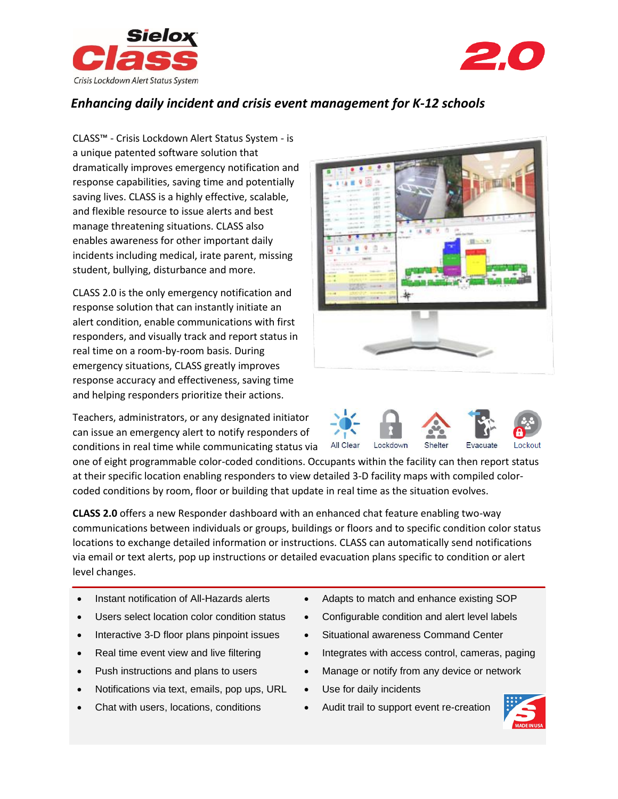



## *Enhancing daily incident and crisis event management for K-12 schools*

CLASS™ - Crisis Lockdown Alert Status System - is a unique patented software solution that dramatically improves emergency notification and response capabilities, saving time and potentially saving lives. CLASS is a highly effective, scalable, and flexible resource to issue alerts and best manage threatening situations. CLASS also enables awareness for other important daily incidents including medical, irate parent, missing student, bullying, disturbance and more.

CLASS 2.0 is the only emergency notification and response solution that can instantly initiate an alert condition, enable communications with first responders, and visually track and report status in real time on a room-by-room basis. During emergency situations, CLASS greatly improves response accuracy and effectiveness, saving time and helping responders prioritize their actions.

Teachers, administrators, or any designated initiator can issue an emergency alert to notify responders of conditions in real time while communicating status via





one of eight programmable color-coded conditions. Occupants within the facility can then report status at their specific location enabling responders to view detailed 3-D facility maps with compiled colorcoded conditions by room, floor or building that update in real time as the situation evolves.

**CLASS 2.0** offers a new Responder dashboard with an enhanced chat feature enabling two-way communications between individuals or groups, buildings or floors and to specific condition color status locations to exchange detailed information or instructions. CLASS can automatically send notifications via email or text alerts, pop up instructions or detailed evacuation plans specific to condition or alert level changes.

- Instant notification of All-Hazards alerts
- Users select location color condition status
- Interactive 3-D floor plans pinpoint issues
- Real time event view and live filtering
- Push instructions and plans to users
- Notifications via text, emails, pop ups, URL
- Chat with users, locations, conditions
- Adapts to match and enhance existing SOP
- Configurable condition and alert level labels
- Situational awareness Command Center
- Integrates with access control, cameras, paging
- Manage or notify from any device or network
- Use for daily incidents
- Audit trail to support event re-creation